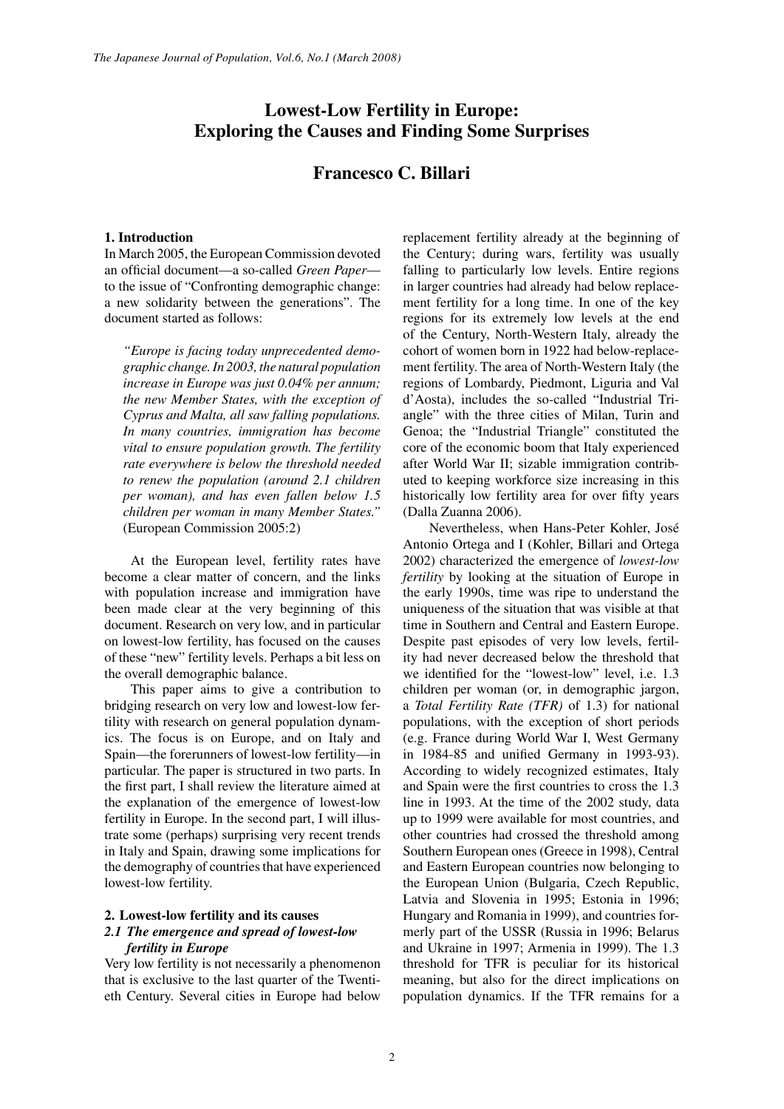# **Lowest-Low Fertility in Europe: Exploring the Causes and Finding Some Surprises**

# **Francesco C. Billari**

## **1. Introduction**

In March 2005, the European Commission devoted an official document—a so-called *Green Paper* to the issue of "Confronting demographic change: a new solidarity between the generations". The document started as follows:

*"Europe is facing today unprecedented demographic change. In 2003, the natural population increase in Europe was just 0.04% per annum; the new Member States, with the exception of Cyprus and Malta, all saw falling populations. In many countries, immigration has become vital to ensure population growth. The fertility rate everywhere is below the threshold needed to renew the population (around 2.1 children per woman), and has even fallen below 1.5 children per woman in many Member States."*  (European Commission 2005:2)

At the European level, fertility rates have become a clear matter of concern, and the links with population increase and immigration have been made clear at the very beginning of this document. Research on very low, and in particular on lowest-low fertility, has focused on the causes of these "new" fertility levels. Perhaps a bit less on the overall demographic balance.

This paper aims to give a contribution to bridging research on very low and lowest-low fertility with research on general population dynamics. The focus is on Europe, and on Italy and Spain—the forerunners of lowest-low fertility—in particular. The paper is structured in two parts. In the first part, I shall review the literature aimed at the explanation of the emergence of lowest-low fertility in Europe. In the second part, I will illustrate some (perhaps) surprising very recent trends in Italy and Spain, drawing some implications for the demography of countries that have experienced lowest-low fertility.

# **2. Lowest-low fertility and its causes** *2.1 The emergence and spread of lowest-low fertility in Europe*

Very low fertility is not necessarily a phenomenon that is exclusive to the last quarter of the Twentieth Century. Several cities in Europe had below replacement fertility already at the beginning of the Century; during wars, fertility was usually falling to particularly low levels. Entire regions in larger countries had already had below replacement fertility for a long time. In one of the key regions for its extremely low levels at the end of the Century, North-Western Italy, already the cohort of women born in 1922 had below-replacement fertility. The area of North-Western Italy (the regions of Lombardy, Piedmont, Liguria and Val d'Aosta), includes the so-called "Industrial Triangle" with the three cities of Milan, Turin and Genoa; the "Industrial Triangle" constituted the core of the economic boom that Italy experienced after World War II; sizable immigration contributed to keeping workforce size increasing in this historically low fertility area for over fifty years (Dalla Zuanna 2006).

Nevertheless, when Hans-Peter Kohler, José Antonio Ortega and I (Kohler, Billari and Ortega 2002) characterized the emergence of *lowest-low fertility* by looking at the situation of Europe in the early 1990s, time was ripe to understand the uniqueness of the situation that was visible at that time in Southern and Central and Eastern Europe. Despite past episodes of very low levels, fertility had never decreased below the threshold that we identified for the "lowest-low" level, i.e. 1.3 children per woman (or, in demographic jargon, a *Total Fertility Rate (TFR)* of 1.3) for national populations, with the exception of short periods (e.g. France during World War I, West Germany in 1984-85 and unified Germany in 1993-93). According to widely recognized estimates, Italy and Spain were the first countries to cross the 1.3 line in 1993. At the time of the 2002 study, data up to 1999 were available for most countries, and other countries had crossed the threshold among Southern European ones (Greece in 1998), Central and Eastern European countries now belonging to the European Union (Bulgaria, Czech Republic, Latvia and Slovenia in 1995; Estonia in 1996; Hungary and Romania in 1999), and countries formerly part of the USSR (Russia in 1996; Belarus and Ukraine in 1997; Armenia in 1999). The 1.3 threshold for TFR is peculiar for its historical meaning, but also for the direct implications on population dynamics. If the TFR remains for a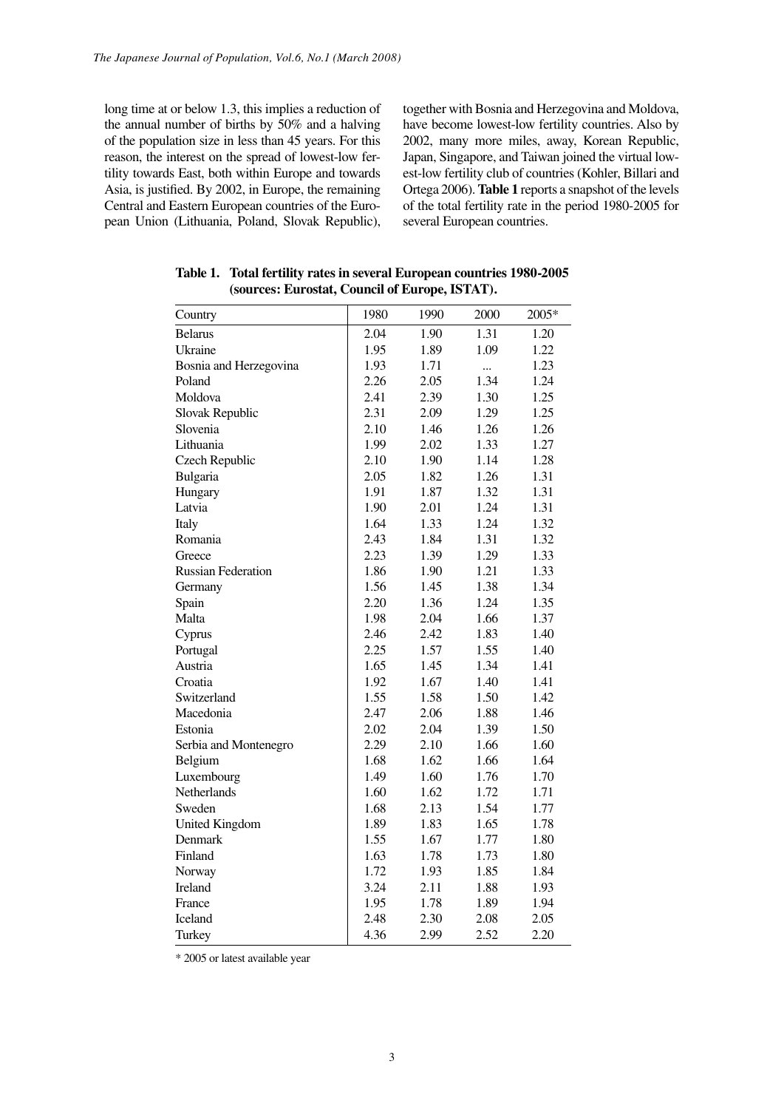long time at or below 1.3, this implies a reduction of the annual number of births by 50% and a halving of the population size in less than 45 years. For this reason, the interest on the spread of lowest-low fertility towards East, both within Europe and towards Asia, is justified. By 2002, in Europe, the remaining Central and Eastern European countries of the European Union (Lithuania, Poland, Slovak Republic), together with Bosnia and Herzegovina and Moldova, have become lowest-low fertility countries. Also by 2002, many more miles, away, Korean Republic, Japan, Singapore, and Taiwan joined the virtual lowest-low fertility club of countries (Kohler, Billari and Ortega 2006). **Table 1** reports a snapshot of the levels of the total fertility rate in the period 1980-2005 for several European countries.

| Country                   | 1980 | 1990 | 2000 | 2005* |
|---------------------------|------|------|------|-------|
| <b>Belarus</b>            | 2.04 | 1.90 | 1.31 | 1.20  |
| Ukraine                   | 1.95 | 1.89 | 1.09 | 1.22  |
| Bosnia and Herzegovina    | 1.93 | 1.71 |      | 1.23  |
| Poland                    | 2.26 | 2.05 | 1.34 | 1.24  |
| Moldova                   | 2.41 | 2.39 | 1.30 | 1.25  |
| Slovak Republic           | 2.31 | 2.09 | 1.29 | 1.25  |
| Slovenia                  | 2.10 | 1.46 | 1.26 | 1.26  |
| Lithuania                 | 1.99 | 2.02 | 1.33 | 1.27  |
| Czech Republic            | 2.10 | 1.90 | 1.14 | 1.28  |
| Bulgaria                  | 2.05 | 1.82 | 1.26 | 1.31  |
| Hungary                   | 1.91 | 1.87 | 1.32 | 1.31  |
| Latvia                    | 1.90 | 2.01 | 1.24 | 1.31  |
| Italy                     | 1.64 | 1.33 | 1.24 | 1.32  |
| Romania                   | 2.43 | 1.84 | 1.31 | 1.32  |
| Greece                    | 2.23 | 1.39 | 1.29 | 1.33  |
| <b>Russian Federation</b> | 1.86 | 1.90 | 1.21 | 1.33  |
| Germany                   | 1.56 | 1.45 | 1.38 | 1.34  |
| Spain                     | 2.20 | 1.36 | 1.24 | 1.35  |
| Malta                     | 1.98 | 2.04 | 1.66 | 1.37  |
| Cyprus                    | 2.46 | 2.42 | 1.83 | 1.40  |
| Portugal                  | 2.25 | 1.57 | 1.55 | 1.40  |
| Austria                   | 1.65 | 1.45 | 1.34 | 1.41  |
| Croatia                   | 1.92 | 1.67 | 1.40 | 1.41  |
| Switzerland               | 1.55 | 1.58 | 1.50 | 1.42  |
| Macedonia                 | 2.47 | 2.06 | 1.88 | 1.46  |
| Estonia                   | 2.02 | 2.04 | 1.39 | 1.50  |
| Serbia and Montenegro     | 2.29 | 2.10 | 1.66 | 1.60  |
| Belgium                   | 1.68 | 1.62 | 1.66 | 1.64  |
| Luxembourg                | 1.49 | 1.60 | 1.76 | 1.70  |
| Netherlands               | 1.60 | 1.62 | 1.72 | 1.71  |
| Sweden                    | 1.68 | 2.13 | 1.54 | 1.77  |
| <b>United Kingdom</b>     | 1.89 | 1.83 | 1.65 | 1.78  |
| Denmark                   | 1.55 | 1.67 | 1.77 | 1.80  |
| Finland                   | 1.63 | 1.78 | 1.73 | 1.80  |
| Norway                    | 1.72 | 1.93 | 1.85 | 1.84  |
| Ireland                   | 3.24 | 2.11 | 1.88 | 1.93  |
| France                    | 1.95 | 1.78 | 1.89 | 1.94  |
| Iceland                   | 2.48 | 2.30 | 2.08 | 2.05  |
| Turkey                    | 4.36 | 2.99 | 2.52 | 2.20  |

**Table 1. Total fertility rates in several European countries 1980-2005 (sources: Eurostat, Council of Europe, ISTAT).**

\* 2005 or latest available year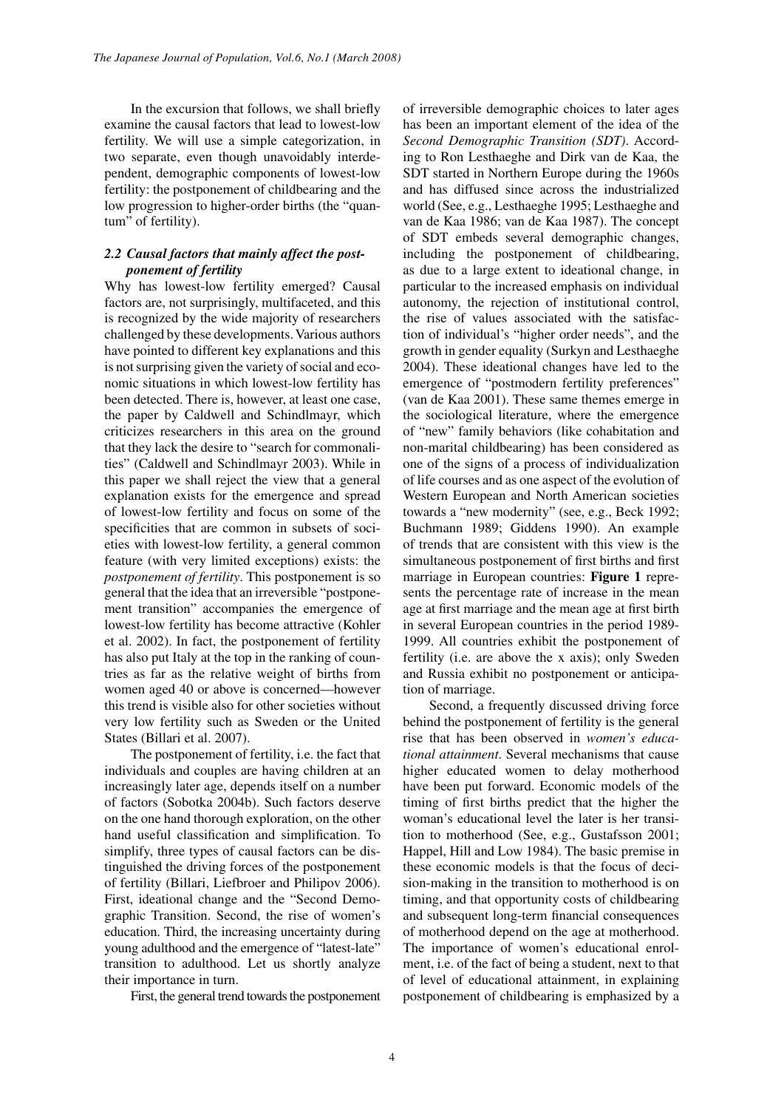In the excursion that follows, we shall briefly examine the causal factors that lead to lowest-low fertility. We will use a simple categorization, in two separate, even though unavoidably interdependent, demographic components of lowest-low fertility: the postponement of childbearing and the low progression to higher-order births (the "quantum" of fertility).

## *2.2 Causal factors that mainly affect the postponement of fertility*

Why has lowest-low fertility emerged? Causal factors are, not surprisingly, multifaceted, and this is recognized by the wide majority of researchers challenged by these developments. Various authors have pointed to different key explanations and this is not surprising given the variety of social and economic situations in which lowest-low fertility has been detected. There is, however, at least one case, the paper by Caldwell and Schindlmayr, which criticizes researchers in this area on the ground that they lack the desire to "search for commonalities" (Caldwell and Schindlmayr 2003). While in this paper we shall reject the view that a general explanation exists for the emergence and spread of lowest-low fertility and focus on some of the specificities that are common in subsets of societies with lowest-low fertility, a general common feature (with very limited exceptions) exists: the *postponement of fertility*. This postponement is so general that the idea that an irreversible "postponement transition" accompanies the emergence of lowest-low fertility has become attractive (Kohler et al. 2002). In fact, the postponement of fertility has also put Italy at the top in the ranking of countries as far as the relative weight of births from women aged 40 or above is concerned—however this trend is visible also for other societies without very low fertility such as Sweden or the United States (Billari et al. 2007).

The postponement of fertility, i.e. the fact that individuals and couples are having children at an increasingly later age, depends itself on a number of factors (Sobotka 2004b). Such factors deserve on the one hand thorough exploration, on the other hand useful classification and simplification. To simplify, three types of causal factors can be distinguished the driving forces of the postponement of fertility (Billari, Liefbroer and Philipov 2006). First, ideational change and the "Second Demographic Transition. Second, the rise of women's education. Third, the increasing uncertainty during young adulthood and the emergence of "latest-late" transition to adulthood. Let us shortly analyze their importance in turn.

First, the general trend towards the postponement

of irreversible demographic choices to later ages has been an important element of the idea of the *Second Demographic Transition (SDT)*. According to Ron Lesthaeghe and Dirk van de Kaa, the SDT started in Northern Europe during the 1960s and has diffused since across the industrialized world (See, e.g., Lesthaeghe 1995; Lesthaeghe and van de Kaa 1986; van de Kaa 1987). The concept of SDT embeds several demographic changes, including the postponement of childbearing, as due to a large extent to ideational change, in particular to the increased emphasis on individual autonomy, the rejection of institutional control, the rise of values associated with the satisfaction of individual's "higher order needs", and the growth in gender equality (Surkyn and Lesthaeghe 2004). These ideational changes have led to the emergence of "postmodern fertility preferences" (van de Kaa 2001). These same themes emerge in the sociological literature, where the emergence of "new" family behaviors (like cohabitation and non-marital childbearing) has been considered as one of the signs of a process of individualization of life courses and as one aspect of the evolution of Western European and North American societies towards a "new modernity" (see, e.g., Beck 1992; Buchmann 1989; Giddens 1990). An example of trends that are consistent with this view is the simultaneous postponement of first births and first marriage in European countries: **Figure 1** represents the percentage rate of increase in the mean age at first marriage and the mean age at first birth in several European countries in the period 1989- 1999. All countries exhibit the postponement of fertility (i.e. are above the x axis); only Sweden and Russia exhibit no postponement or anticipation of marriage.

Second, a frequently discussed driving force behind the postponement of fertility is the general rise that has been observed in *women's educational attainment*. Several mechanisms that cause higher educated women to delay motherhood have been put forward. Economic models of the timing of first births predict that the higher the woman's educational level the later is her transition to motherhood (See, e.g., Gustafsson 2001; Happel, Hill and Low 1984). The basic premise in these economic models is that the focus of decision-making in the transition to motherhood is on timing, and that opportunity costs of childbearing and subsequent long-term financial consequences of motherhood depend on the age at motherhood. The importance of women's educational enrolment, i.e. of the fact of being a student, next to that of level of educational attainment, in explaining postponement of childbearing is emphasized by a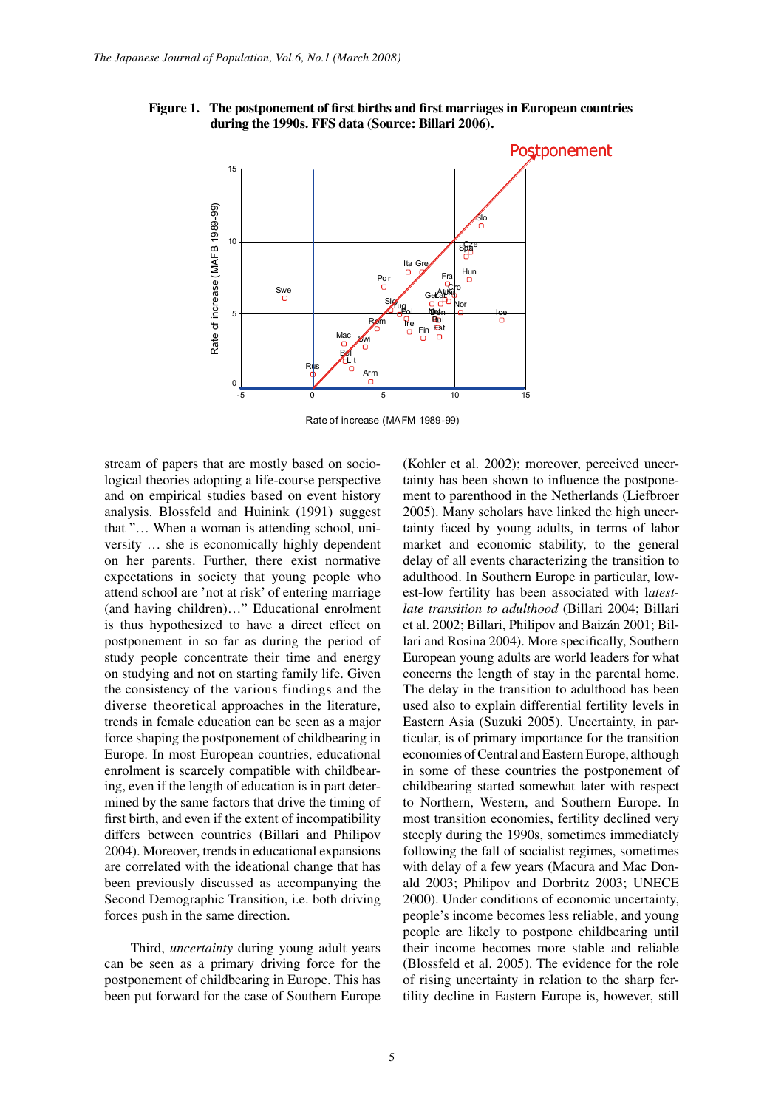

**Figure 1. The postponement of first births and first marriages in European countries during the 1990s. FFS data (Source: Billari 2006).**

Rate of increase (MAFM 1989-99)

stream of papers that are mostly based on sociological theories adopting a life-course perspective and on empirical studies based on event history analysis. Blossfeld and Huinink (1991) suggest that "… When a woman is attending school, university … she is economically highly dependent on her parents. Further, there exist normative expectations in society that young people who attend school are 'not at risk' of entering marriage (and having children)…" Educational enrolment is thus hypothesized to have a direct effect on postponement in so far as during the period of study people concentrate their time and energy on studying and not on starting family life. Given the consistency of the various findings and the diverse theoretical approaches in the literature, trends in female education can be seen as a major force shaping the postponement of childbearing in Europe. In most European countries, educational enrolment is scarcely compatible with childbearing, even if the length of education is in part determined by the same factors that drive the timing of first birth, and even if the extent of incompatibility differs between countries (Billari and Philipov 2004). Moreover, trends in educational expansions are correlated with the ideational change that has been previously discussed as accompanying the Second Demographic Transition, i.e. both driving forces push in the same direction.

Third, *uncertainty* during young adult years can be seen as a primary driving force for the postponement of childbearing in Europe. This has been put forward for the case of Southern Europe (Kohler et al. 2002); moreover, perceived uncertainty has been shown to influence the postponement to parenthood in the Netherlands (Liefbroer 2005). Many scholars have linked the high uncertainty faced by young adults, in terms of labor market and economic stability, to the general delay of all events characterizing the transition to adulthood. In Southern Europe in particular, lowest-low fertility has been associated with l*atestlate transition to adulthood* (Billari 2004; Billari et al. 2002; Billari, Philipov and Baizán 2001; Billari and Rosina 2004). More specifically, Southern European young adults are world leaders for what concerns the length of stay in the parental home. The delay in the transition to adulthood has been used also to explain differential fertility levels in Eastern Asia (Suzuki 2005). Uncertainty, in particular, is of primary importance for the transition 1 economies of Central and Eastern Europe, although in some of these countries the postponement of childbearing started somewhat later with respect to Northern, Western, and Southern Europe. In most transition economies, fertility declined very steeply during the 1990s, sometimes immediately following the fall of socialist regimes, sometimes with delay of a few years (Macura and Mac Donald 2003; Philipov and Dorbritz 2003; UNECE 2000). Under conditions of economic uncertainty, people's income becomes less reliable, and young people are likely to postpone childbearing until their income becomes more stable and reliable (Blossfeld et al. 2005). The evidence for the role of rising uncertainty in relation to the sharp fertility decline in Eastern Europe is, however, still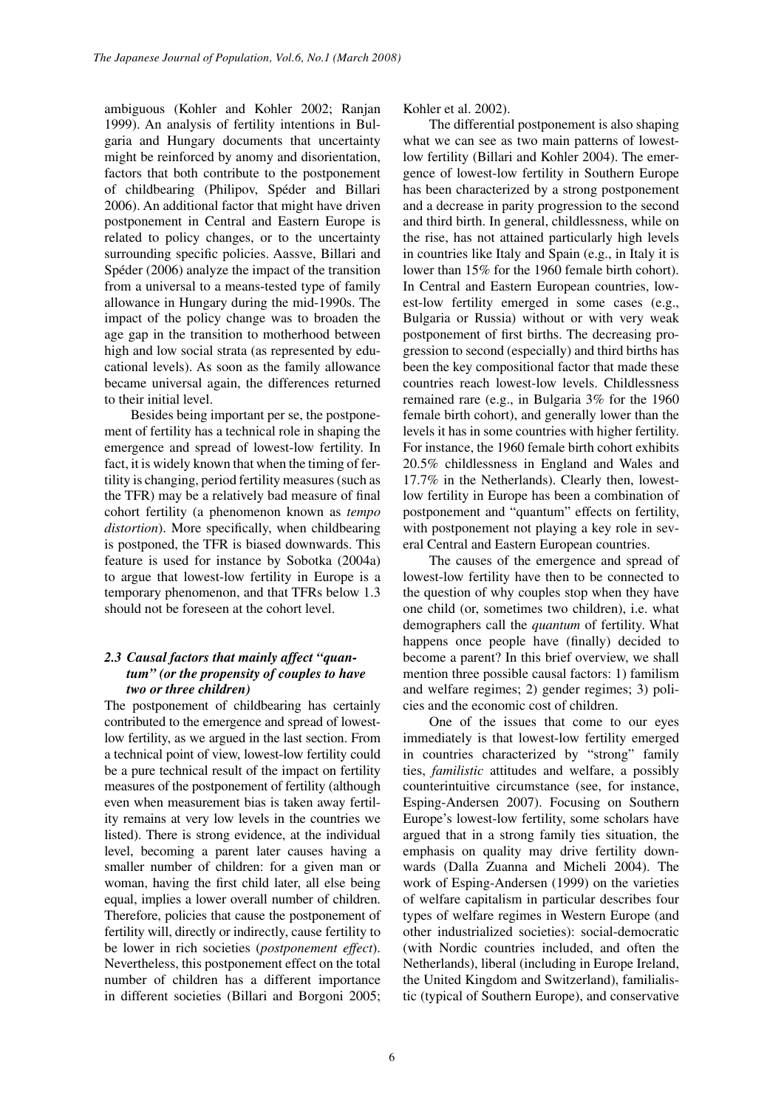ambiguous (Kohler and Kohler 2002; Ranjan 1999). An analysis of fertility intentions in Bulgaria and Hungary documents that uncertainty might be reinforced by anomy and disorientation, factors that both contribute to the postponement of childbearing (Philipov, Spéder and Billari 2006). An additional factor that might have driven postponement in Central and Eastern Europe is related to policy changes, or to the uncertainty surrounding specific policies. Aassve, Billari and Spéder (2006) analyze the impact of the transition from a universal to a means-tested type of family allowance in Hungary during the mid-1990s. The impact of the policy change was to broaden the age gap in the transition to motherhood between high and low social strata (as represented by educational levels). As soon as the family allowance became universal again, the differences returned to their initial level.

Besides being important per se, the postponement of fertility has a technical role in shaping the emergence and spread of lowest-low fertility. In fact, it is widely known that when the timing of fertility is changing, period fertility measures (such as the TFR) may be a relatively bad measure of final cohort fertility (a phenomenon known as *tempo distortion*). More specifically, when childbearing is postponed, the TFR is biased downwards. This feature is used for instance by Sobotka (2004a) to argue that lowest-low fertility in Europe is a temporary phenomenon, and that TFRs below 1.3 should not be foreseen at the cohort level.

# *2.3 Causal factors that mainly affect "quantum" (or the propensity of couples to have two or three children)*

The postponement of childbearing has certainly contributed to the emergence and spread of lowestlow fertility, as we argued in the last section. From a technical point of view, lowest-low fertility could be a pure technical result of the impact on fertility measures of the postponement of fertility (although even when measurement bias is taken away fertility remains at very low levels in the countries we listed). There is strong evidence, at the individual level, becoming a parent later causes having a smaller number of children: for a given man or woman, having the first child later, all else being equal, implies a lower overall number of children. Therefore, policies that cause the postponement of fertility will, directly or indirectly, cause fertility to be lower in rich societies (*postponement effect*). Nevertheless, this postponement effect on the total number of children has a different importance in different societies (Billari and Borgoni 2005;

Kohler et al. 2002).

The differential postponement is also shaping what we can see as two main patterns of lowestlow fertility (Billari and Kohler 2004). The emergence of lowest-low fertility in Southern Europe has been characterized by a strong postponement and a decrease in parity progression to the second and third birth. In general, childlessness, while on the rise, has not attained particularly high levels in countries like Italy and Spain (e.g., in Italy it is lower than 15% for the 1960 female birth cohort). In Central and Eastern European countries, lowest-low fertility emerged in some cases (e.g., Bulgaria or Russia) without or with very weak postponement of first births. The decreasing progression to second (especially) and third births has been the key compositional factor that made these countries reach lowest-low levels. Childlessness remained rare (e.g., in Bulgaria 3% for the 1960 female birth cohort), and generally lower than the levels it has in some countries with higher fertility. For instance, the 1960 female birth cohort exhibits 20.5% childlessness in England and Wales and 17.7% in the Netherlands). Clearly then, lowestlow fertility in Europe has been a combination of postponement and "quantum" effects on fertility, with postponement not playing a key role in several Central and Eastern European countries.

The causes of the emergence and spread of lowest-low fertility have then to be connected to the question of why couples stop when they have one child (or, sometimes two children), i.e. what demographers call the *quantum* of fertility. What happens once people have (finally) decided to become a parent? In this brief overview, we shall mention three possible causal factors: 1) familism and welfare regimes; 2) gender regimes; 3) policies and the economic cost of children.

One of the issues that come to our eyes immediately is that lowest-low fertility emerged in countries characterized by "strong" family ties, *familistic* attitudes and welfare, a possibly counterintuitive circumstance (see, for instance, Esping-Andersen 2007). Focusing on Southern Europe's lowest-low fertility, some scholars have argued that in a strong family ties situation, the emphasis on quality may drive fertility downwards (Dalla Zuanna and Micheli 2004). The work of Esping-Andersen (1999) on the varieties of welfare capitalism in particular describes four types of welfare regimes in Western Europe (and other industrialized societies): social-democratic (with Nordic countries included, and often the Netherlands), liberal (including in Europe Ireland, the United Kingdom and Switzerland), familialistic (typical of Southern Europe), and conservative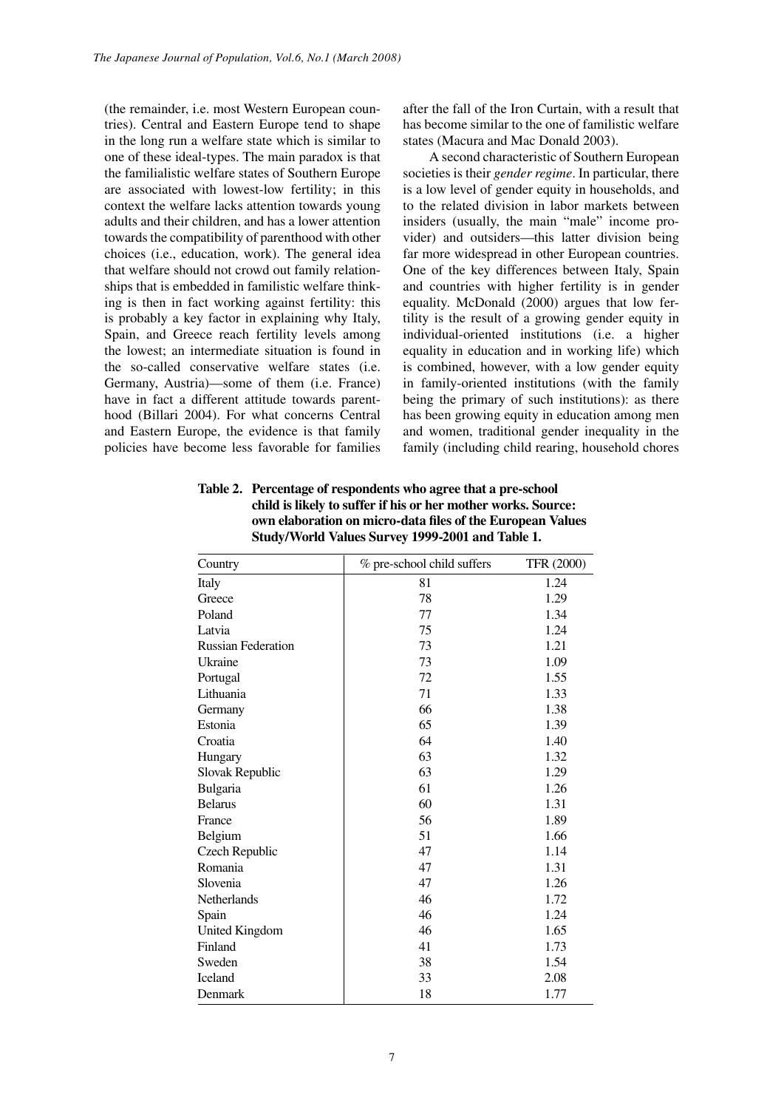(the remainder, i.e. most Western European countries). Central and Eastern Europe tend to shape in the long run a welfare state which is similar to one of these ideal-types. The main paradox is that the familialistic welfare states of Southern Europe are associated with lowest-low fertility; in this context the welfare lacks attention towards young adults and their children, and has a lower attention towards the compatibility of parenthood with other choices (i.e., education, work). The general idea that welfare should not crowd out family relationships that is embedded in familistic welfare thinking is then in fact working against fertility: this is probably a key factor in explaining why Italy, Spain, and Greece reach fertility levels among the lowest; an intermediate situation is found in the so-called conservative welfare states (i.e. Germany, Austria)—some of them (i.e. France) have in fact a different attitude towards parenthood (Billari 2004). For what concerns Central and Eastern Europe, the evidence is that family policies have become less favorable for families after the fall of the Iron Curtain, with a result that has become similar to the one of familistic welfare states (Macura and Mac Donald 2003).

A second characteristic of Southern European societies is their *gender regime*. In particular, there is a low level of gender equity in households, and to the related division in labor markets between insiders (usually, the main "male" income provider) and outsiders—this latter division being far more widespread in other European countries. One of the key differences between Italy, Spain and countries with higher fertility is in gender equality. McDonald (2000) argues that low fertility is the result of a growing gender equity in individual-oriented institutions (i.e. a higher equality in education and in working life) which is combined, however, with a low gender equity in family-oriented institutions (with the family being the primary of such institutions): as there has been growing equity in education among men and women, traditional gender inequality in the family (including child rearing, household chores

| Table 2. Percentage of respondents who agree that a pre-school |  |  |  |
|----------------------------------------------------------------|--|--|--|
| child is likely to suffer if his or her mother works. Source:  |  |  |  |
| own elaboration on micro-data files of the European Values     |  |  |  |
| Study/World Values Survey 1999-2001 and Table 1.               |  |  |  |

| Country                   | % pre-school child suffers | <b>TFR (2000)</b> |
|---------------------------|----------------------------|-------------------|
| Italy                     | 81                         | 1.24              |
| Greece                    | 78                         | 1.29              |
| Poland                    | 77                         | 1.34              |
| Latvia                    | 75                         | 1.24              |
| <b>Russian Federation</b> | 73                         | 1.21              |
| Ukraine                   | 73                         | 1.09              |
| Portugal                  | 72                         | 1.55              |
| Lithuania                 | 71                         | 1.33              |
| Germany                   | 66                         | 1.38              |
| Estonia                   | 65                         | 1.39              |
| Croatia                   | 64                         | 1.40              |
| Hungary                   | 63                         | 1.32              |
| Slovak Republic           | 63                         | 1.29              |
| Bulgaria                  | 61                         | 1.26              |
| <b>Belarus</b>            | 60                         | 1.31              |
| France                    | 56                         | 1.89              |
| Belgium                   | 51                         | 1.66              |
| Czech Republic            | 47                         | 1.14              |
| Romania                   | 47                         | 1.31              |
| Slovenia                  | 47                         | 1.26              |
| Netherlands               | 46                         | 1.72              |
| Spain                     | 46                         | 1.24              |
| <b>United Kingdom</b>     | 46                         | 1.65              |
| Finland                   | 41                         | 1.73              |
| Sweden                    | 38                         | 1.54              |
| Iceland                   | 33                         | 2.08              |
| Denmark                   | 18                         | 1.77              |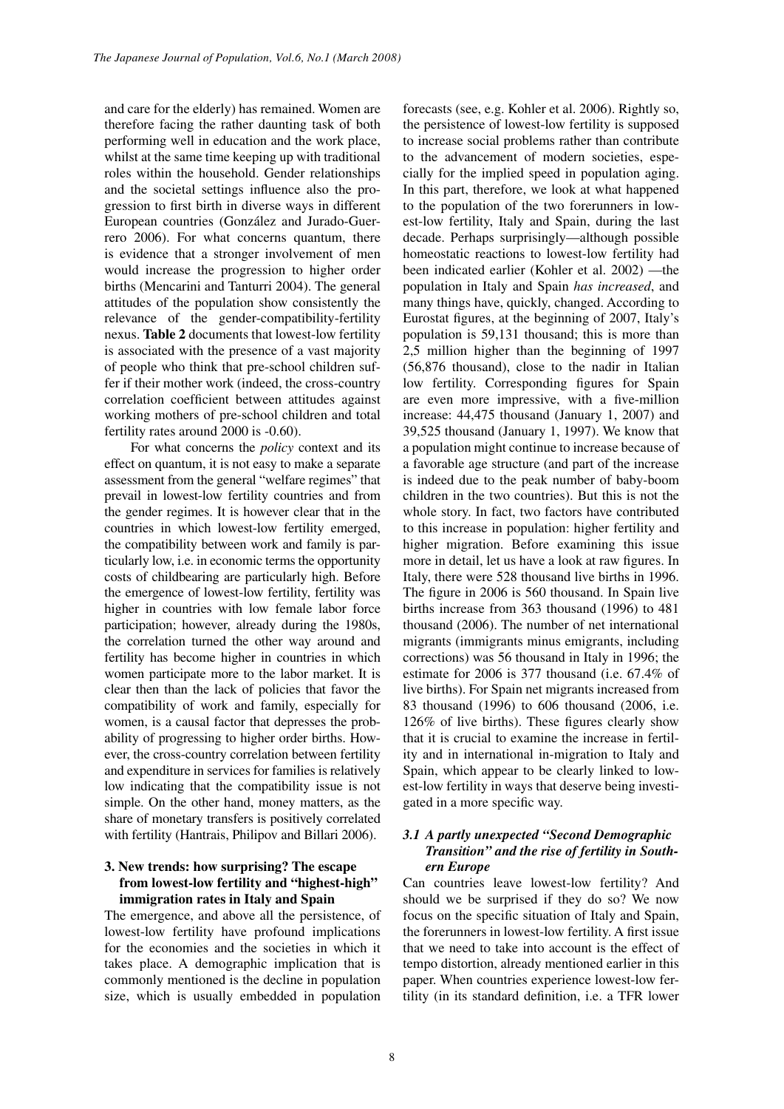and care for the elderly) has remained. Women are therefore facing the rather daunting task of both performing well in education and the work place, whilst at the same time keeping up with traditional roles within the household. Gender relationships and the societal settings influence also the progression to first birth in diverse ways in different European countries (González and Jurado-Guerrero 2006). For what concerns quantum, there is evidence that a stronger involvement of men would increase the progression to higher order births (Mencarini and Tanturri 2004). The general attitudes of the population show consistently the relevance of the gender-compatibility-fertility nexus. **Table 2** documents that lowest-low fertility is associated with the presence of a vast majority of people who think that pre-school children suffer if their mother work (indeed, the cross-country correlation coefficient between attitudes against working mothers of pre-school children and total fertility rates around 2000 is -0.60).

For what concerns the *policy* context and its effect on quantum, it is not easy to make a separate assessment from the general "welfare regimes" that prevail in lowest-low fertility countries and from the gender regimes. It is however clear that in the countries in which lowest-low fertility emerged, the compatibility between work and family is particularly low, i.e. in economic terms the opportunity costs of childbearing are particularly high. Before the emergence of lowest-low fertility, fertility was higher in countries with low female labor force participation; however, already during the 1980s, the correlation turned the other way around and fertility has become higher in countries in which women participate more to the labor market. It is clear then than the lack of policies that favor the compatibility of work and family, especially for women, is a causal factor that depresses the probability of progressing to higher order births. However, the cross-country correlation between fertility and expenditure in services for families is relatively low indicating that the compatibility issue is not simple. On the other hand, money matters, as the share of monetary transfers is positively correlated with fertility (Hantrais, Philipov and Billari 2006).

# **3. New trends: how surprising? The escape from lowest-low fertility and "highest-high" immigration rates in Italy and Spain**

The emergence, and above all the persistence, of lowest-low fertility have profound implications for the economies and the societies in which it takes place. A demographic implication that is commonly mentioned is the decline in population size, which is usually embedded in population

forecasts (see, e.g. Kohler et al. 2006). Rightly so, the persistence of lowest-low fertility is supposed to increase social problems rather than contribute to the advancement of modern societies, especially for the implied speed in population aging. In this part, therefore, we look at what happened to the population of the two forerunners in lowest-low fertility, Italy and Spain, during the last decade. Perhaps surprisingly—although possible homeostatic reactions to lowest-low fertility had been indicated earlier (Kohler et al. 2002) —the population in Italy and Spain *has increased*, and many things have, quickly, changed. According to Eurostat figures, at the beginning of 2007, Italy's population is 59,131 thousand; this is more than 2,5 million higher than the beginning of 1997 (56,876 thousand), close to the nadir in Italian low fertility. Corresponding figures for Spain are even more impressive, with a five-million increase: 44,475 thousand (January 1, 2007) and 39,525 thousand (January 1, 1997). We know that a population might continue to increase because of a favorable age structure (and part of the increase is indeed due to the peak number of baby-boom children in the two countries). But this is not the whole story. In fact, two factors have contributed to this increase in population: higher fertility and higher migration. Before examining this issue more in detail, let us have a look at raw figures. In Italy, there were 528 thousand live births in 1996. The figure in 2006 is 560 thousand. In Spain live births increase from 363 thousand (1996) to 481 thousand (2006). The number of net international migrants (immigrants minus emigrants, including corrections) was 56 thousand in Italy in 1996; the estimate for 2006 is 377 thousand (i.e. 67.4% of live births). For Spain net migrants increased from 83 thousand (1996) to 606 thousand (2006, i.e. 126% of live births). These figures clearly show that it is crucial to examine the increase in fertility and in international in-migration to Italy and Spain, which appear to be clearly linked to lowest-low fertility in ways that deserve being investigated in a more specific way.

# *3.1 A partly unexpected "Second Demographic Transition" and the rise of fertility in Southern Europe*

Can countries leave lowest-low fertility? And should we be surprised if they do so? We now focus on the specific situation of Italy and Spain, the forerunners in lowest-low fertility. A first issue that we need to take into account is the effect of tempo distortion, already mentioned earlier in this paper. When countries experience lowest-low fertility (in its standard definition, i.e. a TFR lower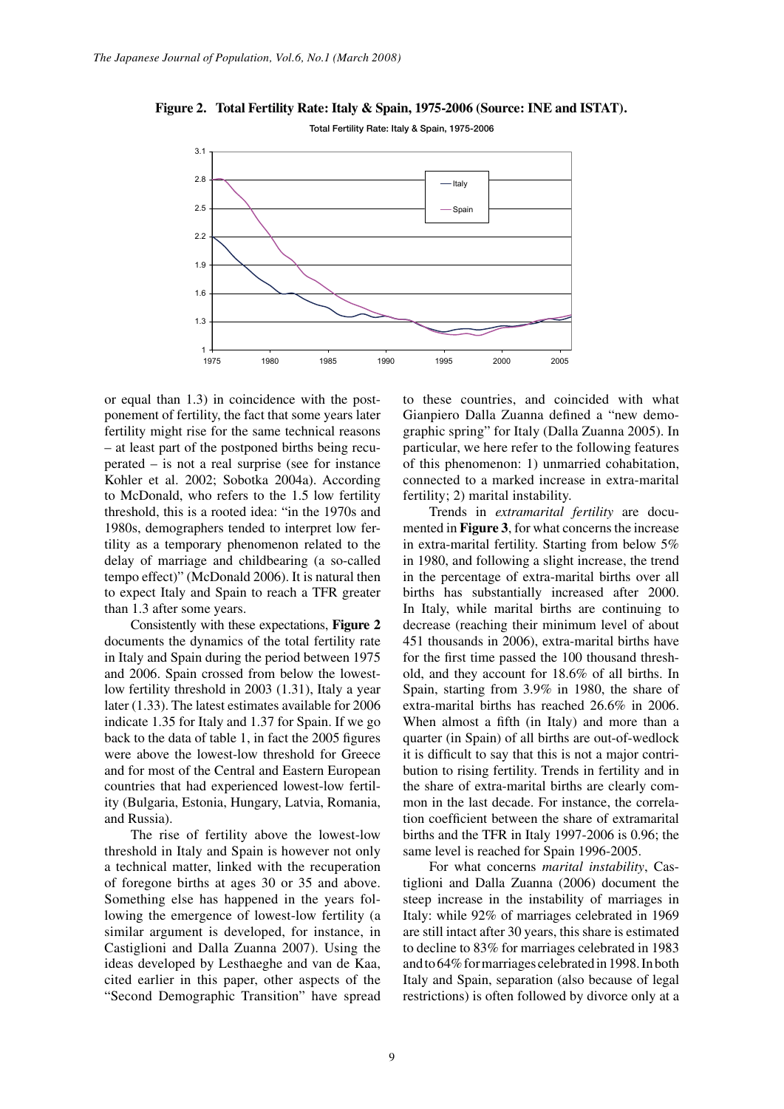

# *Figure 2. Total Fertility Rate: Italy & Spain, 1975-2006 (Source: INE and ISTAT).*  **Figure 2. Total Fertility Rate: Italy & Spain, 1975-2006 (Source: INE and ISTAT).**

or equal than 1.3) in coincidence with the postponement of fertility, the fact that some years later fertility might rise for the same technical reasons – at least part of the postponed births being recuperated – is not a real surprise (see for instance Kohler et al. 2002; Sobotka 2004a). According to McDonald, who refers to the 1.5 low fertility threshold, this is a rooted idea: "in the 1970s and 1980s, demographers tended to interpret low fertility as a temporary phenomenon related to the delay of marriage and childbearing (a so-called tempo effect)" (McDonald 2006). It is natural then to expect Italy and Spain to reach a TFR greater than 1.3 after some years.

Consistently with these expectations, **Figure 2** documents the dynamics of the total fertility rate in Italy and Spain during the period between 1975 and 2006. Spain crossed from below the lowestlow fertility threshold in 2003 (1.31), Italy a year later (1.33). The latest estimates available for 2006 indicate 1.35 for Italy and 1.37 for Spain. If we go back to the data of table 1, in fact the 2005 figures were above the lowest-low threshold for Greece and for most of the Central and Eastern European countries that had experienced lowest-low fertility (Bulgaria, Estonia, Hungary, Latvia, Romania, and Russia).

The rise of fertility above the lowest-low threshold in Italy and Spain is however not only a technical matter, linked with the recuperation of foregone births at ages 30 or 35 and above. Something else has happened in the years following the emergence of lowest-low fertility (a similar argument is developed, for instance, in Castiglioni and Dalla Zuanna 2007). Using the ideas developed by Lesthaeghe and van de Kaa, cited earlier in this paper, other aspects of the "Second Demographic Transition" have spread to these countries, and coincided with what Gianpiero Dalla Zuanna defined a "new demographic spring" for Italy (Dalla Zuanna 2005). In particular, we here refer to the following features of this phenomenon: 1) unmarried cohabitation, connected to a marked increase in extra-marital fertility; 2) marital instability.

2006 extra-marital births has reached 26.6% in 2006. Trends in *extramarital fertility* are documented in **Figure 3**, for what concerns the increase in extra-marital fertility. Starting from below 5% in 1980, and following a slight increase, the trend in the percentage of extra-marital births over all births has substantially increased after 2000. In Italy, while marital births are continuing to decrease (reaching their minimum level of about 451 thousands in 2006), extra-marital births have for the first time passed the 100 thousand threshold, and they account for 18.6% of all births. In Spain, starting from 3.9% in 1980, the share of When almost a fifth (in Italy) and more than a quarter (in Spain) of all births are out-of-wedlock it is difficult to say that this is not a major contribution to rising fertility. Trends in fertility and in the share of extra-marital births are clearly common in the last decade. For instance, the correlation coefficient between the share of extramarital births and the TFR in Italy 1997-2006 is 0.96; the same level is reached for Spain 1996-2005.

> For what concerns *marital instability*, Castiglioni and Dalla Zuanna (2006) document the steep increase in the instability of marriages in Italy: while 92% of marriages celebrated in 1969 are still intact after 30 years, this share is estimated to decline to 83% for marriages celebrated in 1983 and to 64% for marriages celebrated in 1998. In both Italy and Spain, separation (also because of legal restrictions) is often followed by divorce only at a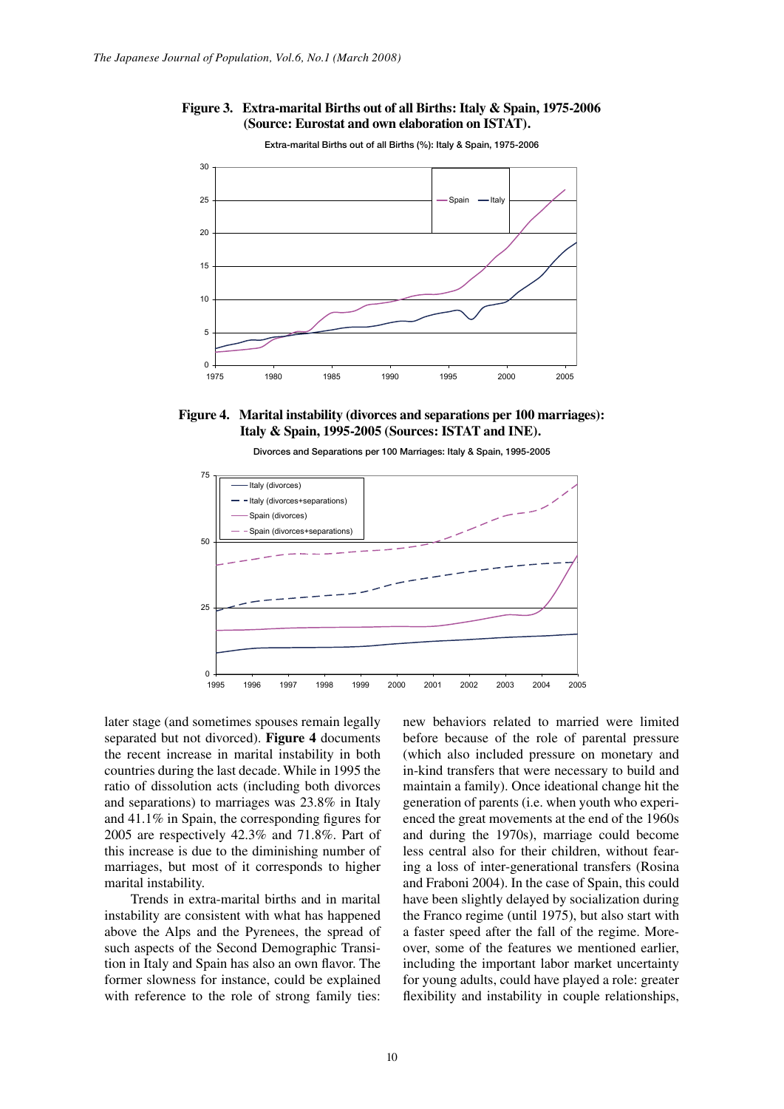





*Figure 4. Marital instability (divorces and separations per 100 marriages): Italy &*  **Figure 4.** Marital instability (divorces and separations per 100 marriages): <br> **Figure 4.** Marital instability (divorces and separations per 100 marriages): **Italy & Spain, 1995-2005 (Sources: ISTAT and INE).**





later stage (and sometimes spouses remain legally separated but not divorced). **Figure 4** documents the recent increase in marital instability in both countries during the last decade. While in 1995 the ratio of dissolution acts (including both divorces and separations) to marriages was 23.8% in Italy and 41.1% in Spain, the corresponding figures for 2005 are respectively 42.3% and 71.8%. Part of this increase is due to the diminishing number of marriages, but most of it corresponds to higher marital instability.

Trends in extra-marital births and in marital instability are consistent with what has happened above the Alps and the Pyrenees, the spread of such aspects of the Second Demographic Transition in Italy and Spain has also an own flavor. The former slowness for instance, could be explained with reference to the role of strong family ties: new behaviors related to married were limited before because of the role of parental pressure (which also included pressure on monetary and in-kind transfers that were necessary to build and maintain a family). Once ideational change hit the generation of parents (i.e. when youth who experienced the great movements at the end of the 1960s and during the 1970s), marriage could become less central also for their children, without fearing a loss of inter-generational transfers (Rosina and Fraboni 2004). In the case of Spain, this could have been slightly delayed by socialization during the Franco regime (until 1975), but also start with a faster speed after the fall of the regime. Moreover, some of the features we mentioned earlier, including the important labor market uncertainty for young adults, could have played a role: greater flexibility and instability in couple relationships,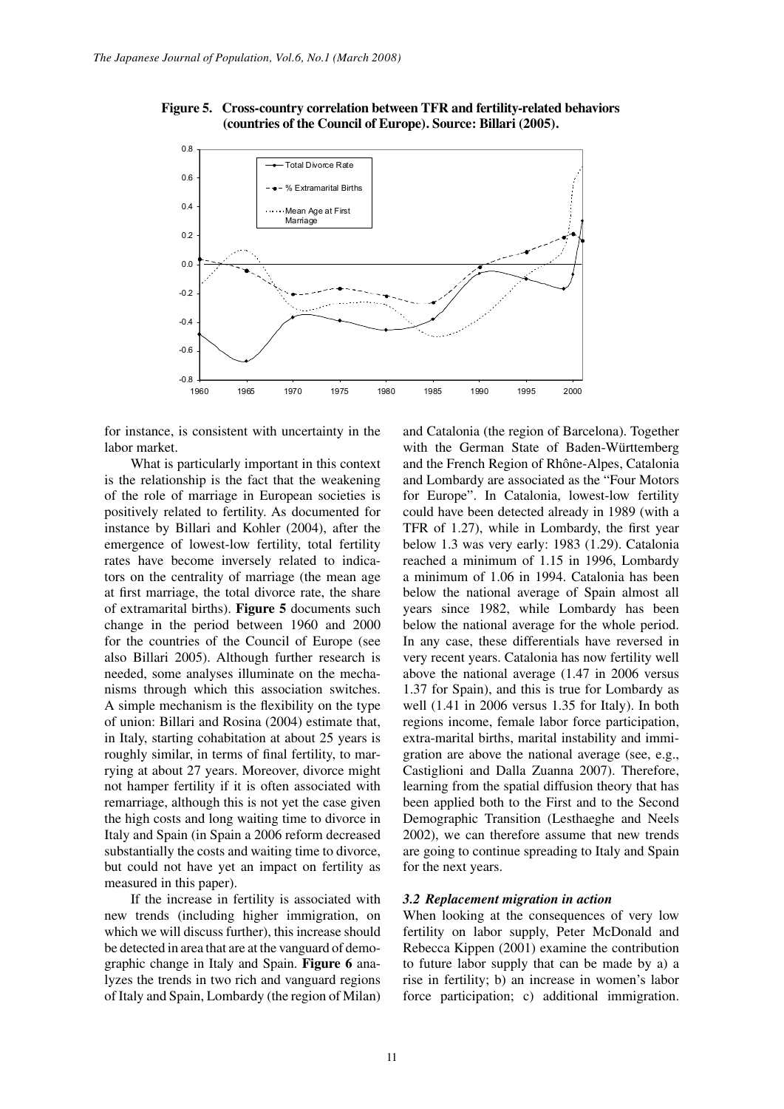



for instance, is consistent with uncertainty in the labor market.

What is particularly important in this context is the relationship is the fact that the weakening of the role of marriage in European societies is positively related to fertility. As documented for instance by Billari and Kohler (2004), after the emergence of lowest-low fertility, total fertility rates have become inversely related to indicators on the centrality of marriage (the mean age at first marriage, the total divorce rate, the share of extramarital births). **Figure 5** documents such change in the period between 1960 and 2000 for the countries of the Council of Europe (see also Billari 2005). Although further research is needed, some analyses illuminate on the mechanisms through which this association switches. A simple mechanism is the flexibility on the type of union: Billari and Rosina (2004) estimate that, in Italy, starting cohabitation at about 25 years is roughly similar, in terms of final fertility, to marrying at about 27 years. Moreover, divorce might not hamper fertility if it is often associated with remarriage, although this is not yet the case given the high costs and long waiting time to divorce in Italy and Spain (in Spain a 2006 reform decreased substantially the costs and waiting time to divorce, but could not have yet an impact on fertility as measured in this paper).

If the increase in fertility is associated with new trends (including higher immigration, on which we will discuss further), this increase should be detected in area that are at the vanguard of demographic change in Italy and Spain. **Figure 6** analyzes the trends in two rich and vanguard regions of Italy and Spain, Lombardy (the region of Milan)

t, regions income, female labor force participation, and Catalonia (the region of Barcelona). Together with the German State of Baden-Württemberg and the French Region of Rhône-Alpes, Catalonia and Lombardy are associated as the "Four Motors for Europe". In Catalonia, lowest-low fertility could have been detected already in 1989 (with a TFR of 1.27), while in Lombardy, the first year below 1.3 was very early: 1983 (1.29). Catalonia reached a minimum of 1.15 in 1996, Lombardy a minimum of 1.06 in 1994. Catalonia has been below the national average of Spain almost all years since 1982, while Lombardy has been below the national average for the whole period. In any case, these differentials have reversed in very recent years. Catalonia has now fertility well above the national average (1.47 in 2006 versus 1.37 for Spain), and this is true for Lombardy as well (1.41 in 2006 versus 1.35 for Italy). In both extra-marital births, marital instability and immigration are above the national average (see, e.g., Castiglioni and Dalla Zuanna 2007). Therefore, learning from the spatial diffusion theory that has been applied both to the First and to the Second Demographic Transition (Lesthaeghe and Neels 2002), we can therefore assume that new trends are going to continue spreading to Italy and Spain for the next years.

## *3.2 Replacement migration in action*

When looking at the consequences of very low fertility on labor supply, Peter McDonald and Rebecca Kippen (2001) examine the contribution to future labor supply that can be made by a) a rise in fertility; b) an increase in women's labor force participation; c) additional immigration.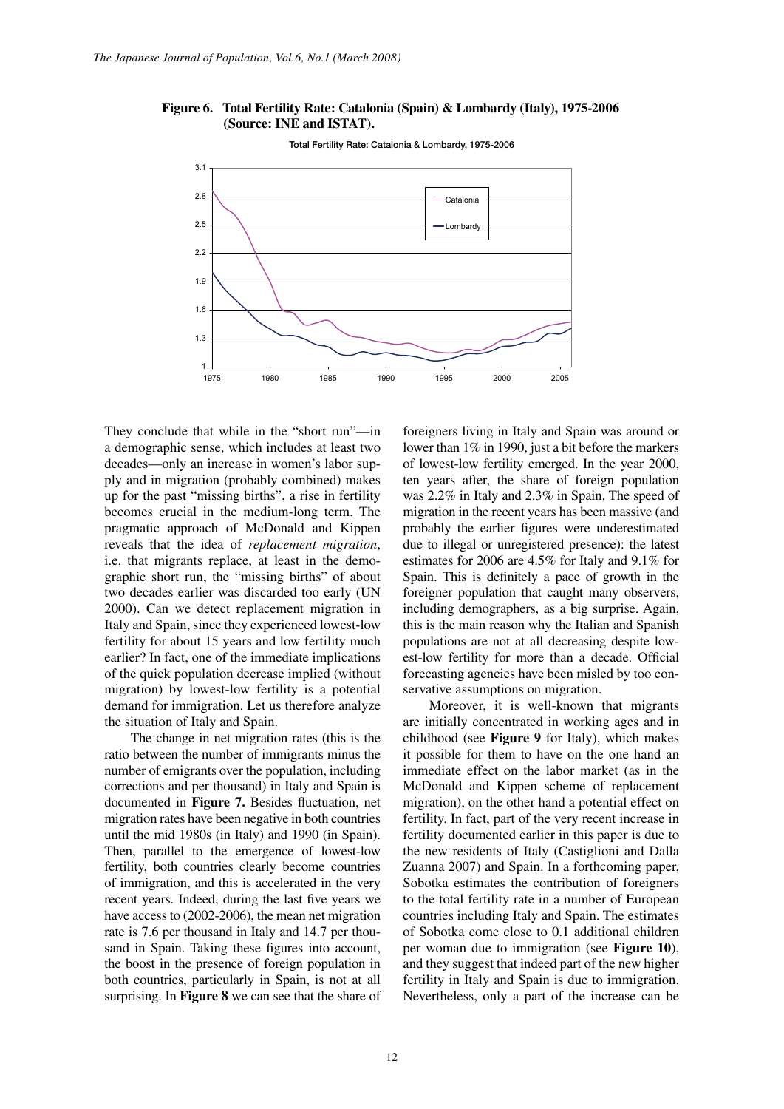### *Figure 6. Total Fertility Rate: Catalonia (Spain) 8. Lombardy (Italy), 1975-2006* Figure 6. Total Fertility Rate: Catalonia (Spain) & Lombardy (Italy), 1975-2006 **(Source: INE and ISTAT).**



**Total Fertility Rate: Catalonia & Lombardy, 1975-2006** Total Fertility Rate: Catalonia & Lombardy, 1975-2006

They conclude that while in the "short run"—in a demographic sense, which includes at least two decades—only an increase in women's labor supply and in migration (probably combined) makes up for the past "missing births", a rise in fertility becomes crucial in the medium-long term. The pragmatic approach of McDonald and Kippen reveals that the idea of *replacement migration*, i.e. that migrants replace, at least in the demographic short run, the "missing births" of about two decades earlier was discarded too early (UN 2000). Can we detect replacement migration in Italy and Spain, since they experienced lowest-low fertility for about 15 years and low fertility much earlier? In fact, one of the immediate implications of the quick population decrease implied (without migration) by lowest-low fertility is a potential demand for immigration. Let us therefore analyze the situation of Italy and Spain.

The change in net migration rates (this is the ratio between the number of immigrants minus the number of emigrants over the population, including corrections and per thousand) in Italy and Spain is documented in **Figure 7.** Besides fluctuation, net migration rates have been negative in both countries until the mid 1980s (in Italy) and 1990 (in Spain). Then, parallel to the emergence of lowest-low fertility, both countries clearly become countries of immigration, and this is accelerated in the very recent years. Indeed, during the last five years we have access to (2002-2006), the mean net migration rate is 7.6 per thousand in Italy and 14.7 per thousand in Spain. Taking these figures into account, the boost in the presence of foreign population in both countries, particularly in Spain, is not at all surprising. In **Figure 8** we can see that the share of

foreigners living in Italy and Spain was around or lower than 1% in 1990, just a bit before the markers of lowest-low fertility emerged. In the year 2000, ten years after, the share of foreign population was 2.2% in Italy and 2.3% in Spain. The speed of migration in the recent years has been massive (and probably the earlier figures were underestimated due to illegal or unregistered presence): the latest estimates for 2006 are 4.5% for Italy and 9.1% for Spain. This is definitely a pace of growth in the foreigner population that caught many observers, including demographers, as a big surprise. Again, this is the main reason why the Italian and Spanish populations are not at all decreasing despite lowest-low fertility for more than a decade. Official forecasting agencies have been misled by too conservative assumptions on migration.

are initially concentrated in working ages and in Moreover, it is well-known that migrants childhood (see **Figure 9** for Italy), which makes it possible for them to have on the one hand an immediate effect on the labor market (as in the McDonald and Kippen scheme of replacement migration), on the other hand a potential effect on fertility. In fact, part of the very recent increase in fertility documented earlier in this paper is due to the new residents of Italy (Castiglioni and Dalla Zuanna 2007) and Spain. In a forthcoming paper, Sobotka estimates the contribution of foreigners to the total fertility rate in a number of European countries including Italy and Spain. The estimates of Sobotka come close to 0.1 additional children per woman due to immigration (see **Figure 10**), and they suggest that indeed part of the new higher fertility in Italy and Spain is due to immigration. Nevertheless, only a part of the increase can be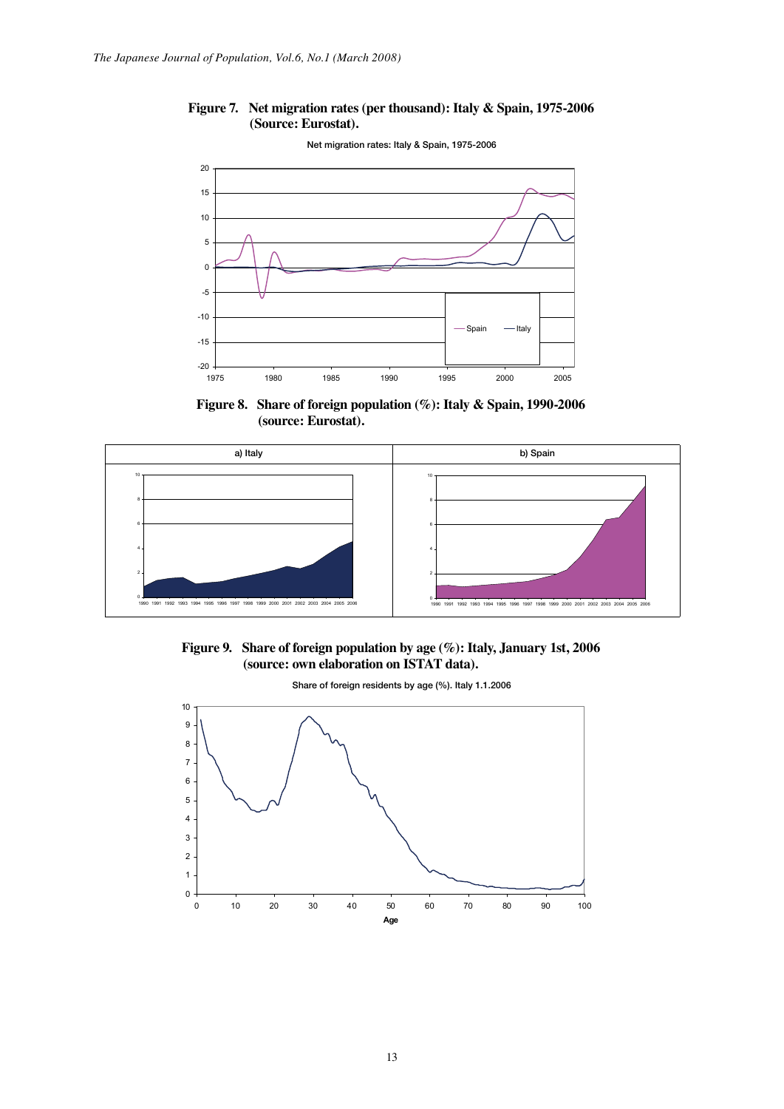#### *Figure 7. Net migration rates (per thousand): Italy & Spain, 1975-2006 (Source:*  **Figure 7.** Net migration rates (per thousand): Italy & Spain, 1975-2006 **(Source: Eurostat).**



**Figure 8. Share of foreign population (%): Italy & Spain, 1990-2006 (source: Eurostat).**







**Share of foreign residents by age (%). Italy 1.1.2006** Share of foreign residents by age (%). Italy 1.1.2006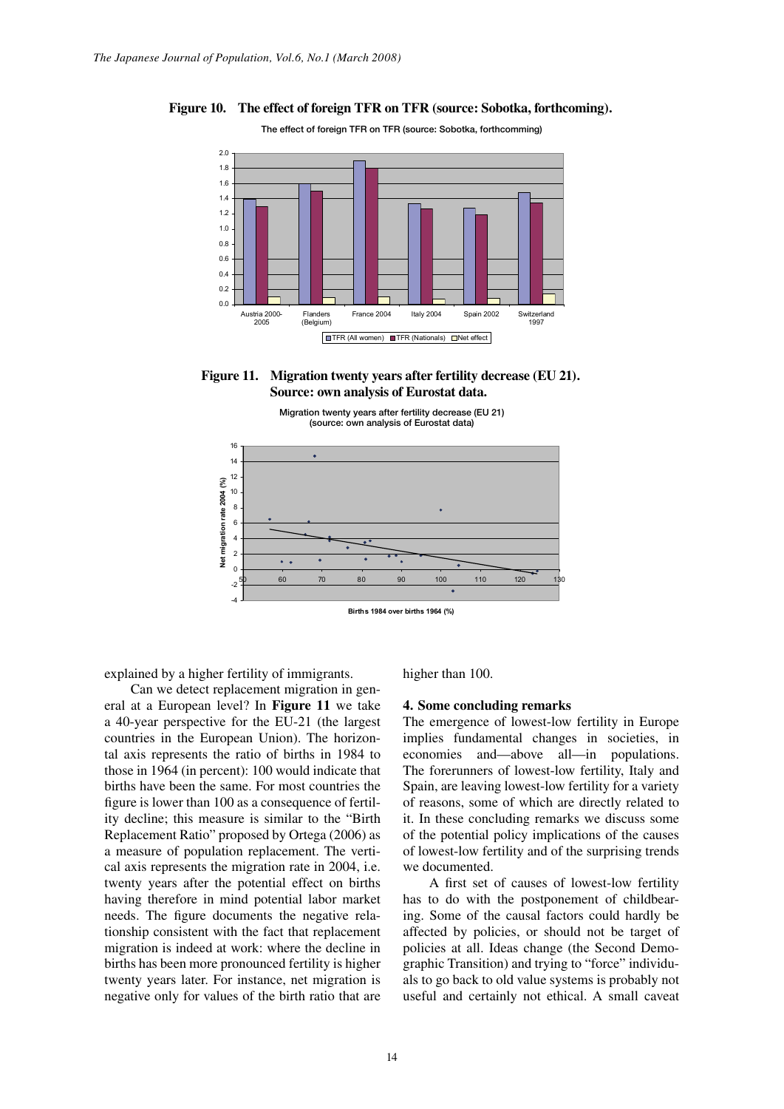# *Figure 10. The effect of foreign TFR on TFR (source: Sobotka, forthcoming).*  **Figure 10. The effect of foreign TFR on TFR (source: Sobotka, forthcoming).**

**The effect of foreign TFR on TFR (source: Sobotka, forthcoming)** The effect of foreign TFR on TFR (source: Sobotka, forthcomming)



Figure 11. Migration twenty years after fertility decrease (EU 21). *of Eurostat data.*  **Source: own analysis of Eurostat data.**



explained by a higher fertility of immigrants.

Can we detect replacement migration in general at a European level? In **Figure 11** we take a 40-year perspective for the EU-21 (the largest countries in the European Union). The horizontal axis represents the ratio of births in 1984 to those in 1964 (in percent): 100 would indicate that births have been the same. For most countries the figure is lower than 100 as a consequence of fertility decline; this measure is similar to the "Birth Replacement Ratio" proposed by Ortega (2006) as a measure of population replacement. The vertical axis represents the migration rate in 2004, i.e. twenty years after the potential effect on births having therefore in mind potential labor market needs. The figure documents the negative relationship consistent with the fact that replacement migration is indeed at work: where the decline in births has been more pronounced fertility is higher twenty years later. For instance, net migration is negative only for values of the birth ratio that are

higher than 100.

### **4. Some concluding remarks**

The emergence of lowest-low fertility in Europe implies fundamental changes in societies, in economies and—above all—in populations. The forerunners of lowest-low fertility, Italy and Spain, are leaving lowest-low fertility for a variety of reasons, some of which are directly related to it. In these concluding remarks we discuss some of the potential policy implications of the causes of lowest-low fertility and of the surprising trends we documented.

has to do with the postponement of childbear-A first set of causes of lowest-low fertility ing. Some of the causal factors could hardly be affected by policies, or should not be target of policies at all. Ideas change (the Second Demographic Transition) and trying to "force" individuals to go back to old value systems is probably not useful and certainly not ethical. A small caveat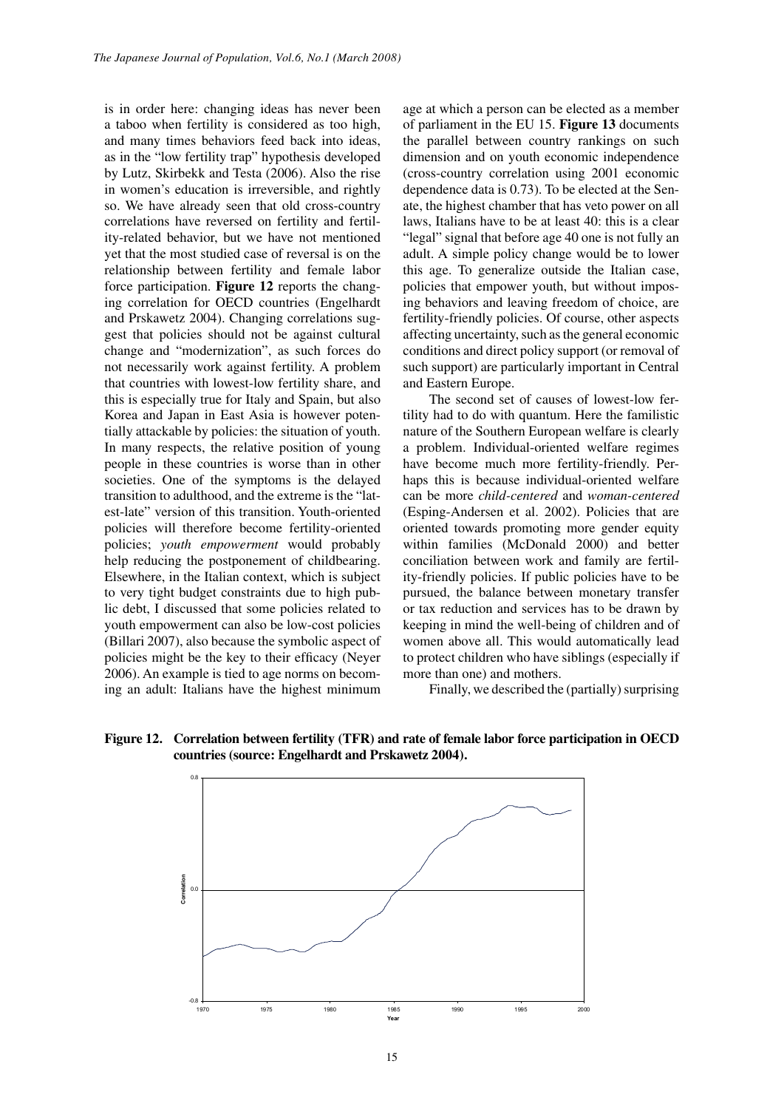is in order here: changing ideas has never been a taboo when fertility is considered as too high, and many times behaviors feed back into ideas, as in the "low fertility trap" hypothesis developed by Lutz, Skirbekk and Testa (2006). Also the rise in women's education is irreversible, and rightly so. We have already seen that old cross-country correlations have reversed on fertility and fertility-related behavior, but we have not mentioned yet that the most studied case of reversal is on the relationship between fertility and female labor force participation. **Figure 12** reports the changing correlation for OECD countries (Engelhardt and Prskawetz 2004). Changing correlations suggest that policies should not be against cultural change and "modernization", as such forces do not necessarily work against fertility. A problem that countries with lowest-low fertility share, and this is especially true for Italy and Spain, but also Korea and Japan in East Asia is however potentially attackable by policies: the situation of youth. In many respects, the relative position of young people in these countries is worse than in other societies. One of the symptoms is the delayed transition to adulthood, and the extreme is the "latest-late" version of this transition. Youth-oriented policies will therefore become fertility-oriented policies; *youth empowerment* would probably help reducing the postponement of childbearing. Elsewhere, in the Italian context, which is subject to very tight budget constraints due to high public debt, I discussed that some policies related to youth empowerment can also be low-cost policies (Billari 2007), also because the symbolic aspect of policies might be the key to their efficacy (Neyer 2006). An example is tied to age norms on becoming an adult: Italians have the highest minimum

age at which a person can be elected as a member of parliament in the EU 15. **Figure 13** documents the parallel between country rankings on such dimension and on youth economic independence (cross-country correlation using 2001 economic dependence data is 0.73). To be elected at the Senate, the highest chamber that has veto power on all laws, Italians have to be at least 40: this is a clear "legal" signal that before age 40 one is not fully an adult. A simple policy change would be to lower this age. To generalize outside the Italian case, policies that empower youth, but without imposing behaviors and leaving freedom of choice, are fertility-friendly policies. Of course, other aspects affecting uncertainty, such as the general economic conditions and direct policy support (or removal of such support) are particularly important in Central and Eastern Europe.

The second set of causes of lowest-low fertility had to do with quantum. Here the familistic nature of the Southern European welfare is clearly a problem. Individual-oriented welfare regimes have become much more fertility-friendly. Perhaps this is because individual-oriented welfare can be more *child-centered* and *woman-centered*  (Esping-Andersen et al. 2002). Policies that are oriented towards promoting more gender equity within families (McDonald 2000) and better conciliation between work and family are fertility-friendly policies. If public policies have to be pursued, the balance between monetary transfer or tax reduction and services has to be drawn by keeping in mind the well-being of children and of women above all. This would automatically lead to protect children who have siblings (especially if more than one) and mothers.

Finally, we described the (partially) surprising



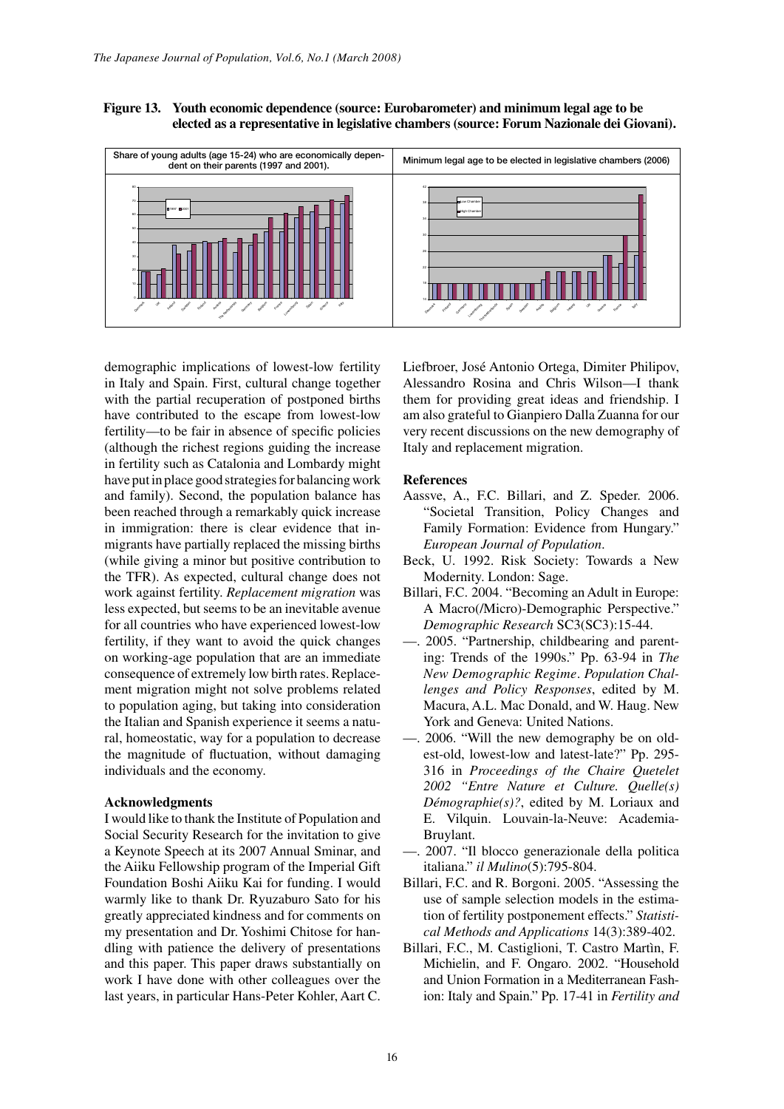**Figure 13. Youth economic dependence (source: Eurobarometer) and minimum legal age to be elected as a representative in legislative chambers (source: Forum Nazionale dei Giovani).**



demographic implications of lowest-low fertility in Italy and Spain. First, cultural change together with the partial recuperation of postponed births have contributed to the escape from lowest-low fertility—to be fair in absence of specific policies (although the richest regions guiding the increase in fertility such as Catalonia and Lombardy might have put in place good strategies for balancing work and family). Second, the population balance has been reached through a remarkably quick increase in immigration: there is clear evidence that inmigrants have partially replaced the missing births (while giving a minor but positive contribution to the TFR). As expected, cultural change does not work against fertility. *Replacement migration* was less expected, but seems to be an inevitable avenue for all countries who have experienced lowest-low fertility, if they want to avoid the quick changes on working-age population that are an immediate consequence of extremely low birth rates. Replacement migration might not solve problems related to population aging, but taking into consideration the Italian and Spanish experience it seems a natural, homeostatic, way for a population to decrease the magnitude of fluctuation, without damaging individuals and the economy.

## **Acknowledgments**

I would like to thank the Institute of Population and Social Security Research for the invitation to give a Keynote Speech at its 2007 Annual Sminar, and the Aiiku Fellowship program of the Imperial Gift Foundation Boshi Aiiku Kai for funding. I would warmly like to thank Dr. Ryuzaburo Sato for his greatly appreciated kindness and for comments on my presentation and Dr. Yoshimi Chitose for handling with patience the delivery of presentations and this paper. This paper draws substantially on work I have done with other colleagues over the last years, in particular Hans-Peter Kohler, Aart C.

Liefbroer, José Antonio Ortega, Dimiter Philipov, Alessandro Rosina and Chris Wilson—I thank them for providing great ideas and friendship. I am also grateful to Gianpiero Dalla Zuanna for our very recent discussions on the new demography of Italy and replacement migration.

### **References**

- Aassve, A., F.C. Billari, and Z. Speder. 2006. "Societal Transition, Policy Changes and Family Formation: Evidence from Hungary." *European Journal of Population*.
- Beck, U. 1992. Risk Society: Towards a New Modernity. London: Sage.
- Billari, F.C. 2004. "Becoming an Adult in Europe: A Macro(/Micro)-Demographic Perspective." *Demographic Research* SC3(SC3):15-44.
- —. 2005. "Partnership, childbearing and parenting: Trends of the 1990s." Pp. 63-94 in *The New Demographic Regime*. *Population Challenges and Policy Responses*, edited by M. Macura, A.L. Mac Donald, and W. Haug. New York and Geneva: United Nations.
- —. 2006. "Will the new demography be on oldest-old, lowest-low and latest-late?" Pp. 295- 316 in *Proceedings of the Chaire Quetelet 2002 "Entre Nature et Culture. Quelle(s) Démographie(s)?*, edited by M. Loriaux and E. Vilquin. Louvain-la-Neuve: Academia-Bruylant.
- —. 2007. "Il blocco generazionale della politica italiana." *il Mulino*(5):795-804.
- Billari, F.C. and R. Borgoni. 2005. "Assessing the use of sample selection models in the estimation of fertility postponement effects." *Statistical Methods and Applications* 14(3):389-402.
- Billari, F.C., M. Castiglioni, T. Castro Martìn, F. Michielin, and F. Ongaro. 2002. "Household and Union Formation in a Mediterranean Fashion: Italy and Spain." Pp. 17-41 in *Fertility and*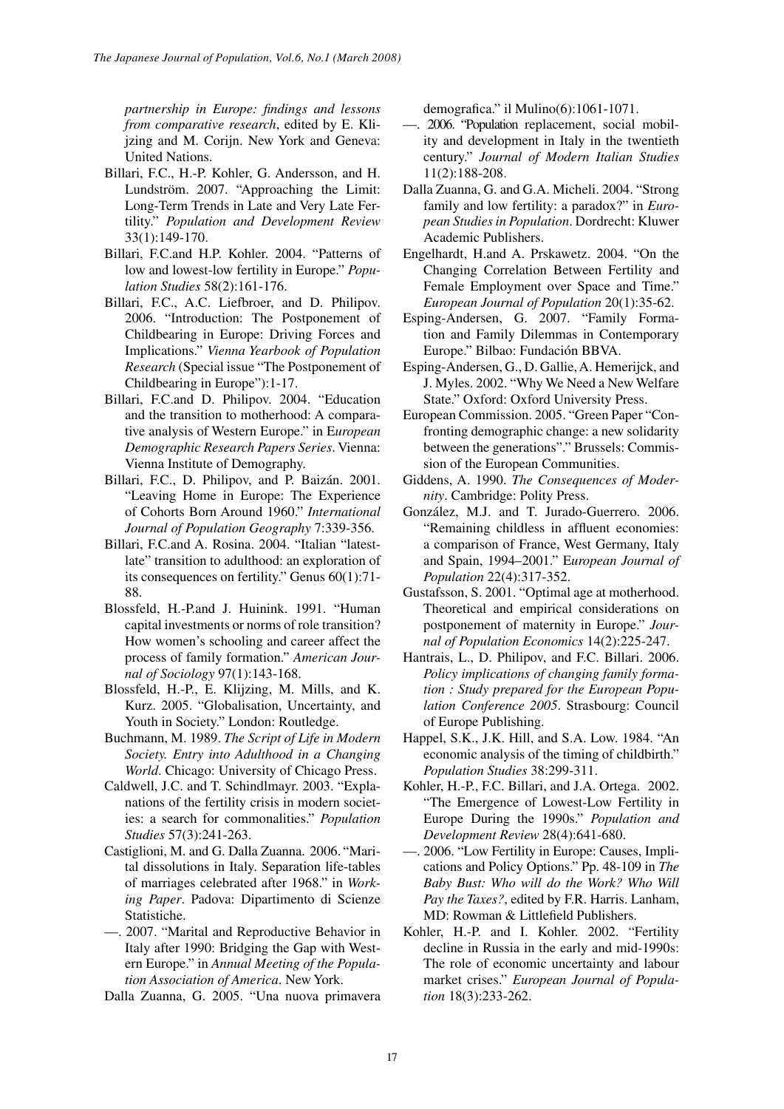*partnership in Europe: findings and lessons from comparative research*, edited by E. Klijzing and M. Corijn. New York and Geneva: United Nations.

- Billari, F.C., H.-P. Kohler, G. Andersson, and H. Lundström. 2007. "Approaching the Limit: Long-Term Trends in Late and Very Late Fertility." *Population and Development Review*  33(1):149-170.
- Billari, F.C.and H.P. Kohler. 2004. "Patterns of low and lowest-low fertility in Europe." *Population Studies* 58(2):161-176.
- Billari, F.C., A.C. Liefbroer, and D. Philipov. 2006. "Introduction: The Postponement of Childbearing in Europe: Driving Forces and Implications." *Vienna Yearbook of Population Research* (Special issue "The Postponement of Childbearing in Europe"):1-17.
- Billari, F.C.and D. Philipov. 2004. "Education and the transition to motherhood: A comparative analysis of Western Europe." in E*uropean Demographic Research Papers Series*. Vienna: Vienna Institute of Demography.
- Billari, F.C., D. Philipov, and P. Baizán. 2001. "Leaving Home in Europe: The Experience of Cohorts Born Around 1960." *International Journal of Population Geography* 7:339-356.
- Billari, F.C.and A. Rosina. 2004. "Italian "latestlate" transition to adulthood: an exploration of its consequences on fertility." Genus 60(1):71- 88.
- Blossfeld, H.-P.and J. Huinink. 1991. "Human capital investments or norms of role transition? How women's schooling and career affect the process of family formation." *American Journal of Sociology* 97(1):143-168.
- Blossfeld, H.-P., E. Klijzing, M. Mills, and K. Kurz. 2005. "Globalisation, Uncertainty, and Youth in Society." London: Routledge.
- Buchmann, M. 1989. *The Script of Life in Modern Society. Entry into Adulthood in a Changing World*. Chicago: University of Chicago Press.
- Caldwell, J.C. and T. Schindlmayr. 2003. "Explanations of the fertility crisis in modern societies: a search for commonalities." *Population Studies* 57(3):241-263.
- Castiglioni, M. and G. Dalla Zuanna. 2006. "Marital dissolutions in Italy. Separation life-tables of marriages celebrated after 1968." in *Working Paper*. Padova: Dipartimento di Scienze Statistiche.
- —. 2007. "Marital and Reproductive Behavior in Italy after 1990: Bridging the Gap with Western Europe." in *Annual Meeting of the Population Association of America*. New York.
- Dalla Zuanna, G. 2005. "Una nuova primavera

demografica." il Mulino(6):1061-1071.

- —. 2006. "Population replacement, social mobility and development in Italy in the twentieth century." *Journal of Modern Italian Studies* 11(2):188-208.
- Dalla Zuanna, G. and G.A. Micheli. 2004. "Strong family and low fertility: a paradox?" in *European Studies in Population*. Dordrecht: Kluwer Academic Publishers.
- Engelhardt, H.and A. Prskawetz. 2004. "On the Changing Correlation Between Fertility and Female Employment over Space and Time." *European Journal of Population* 20(1):35-62.
- Esping-Andersen, G. 2007. "Family Formation and Family Dilemmas in Contemporary Europe." Bilbao: Fundación BBVA.
- Esping-Andersen, G., D. Gallie, A. Hemerijck, and J. Myles. 2002. "Why We Need a New Welfare State." Oxford: Oxford University Press.
- European Commission. 2005. "Green Paper "Confronting demographic change: a new solidarity between the generations"." Brussels: Commission of the European Communities.
- Giddens, A. 1990. *The Consequences of Modernity*. Cambridge: Polity Press.
- González, M.J. and T. Jurado-Guerrero. 2006. "Remaining childless in affluent economies: a comparison of France, West Germany, Italy and Spain, 1994–2001." E*uropean Journal of Population* 22(4):317-352.
- Gustafsson, S. 2001. "Optimal age at motherhood. Theoretical and empirical considerations on postponement of maternity in Europe." *Journal of Population Economics* 14(2):225-247.
- Hantrais, L., D. Philipov, and F.C. Billari. 2006. *Policy implications of changing family formation : Study prepared for the European Population Conference 2005*. Strasbourg: Council of Europe Publishing.
- Happel, S.K., J.K. Hill, and S.A. Low. 1984. "An economic analysis of the timing of childbirth." *Population Studies* 38:299-311.
- Kohler, H.-P., F.C. Billari, and J.A. Ortega. 2002. "The Emergence of Lowest-Low Fertility in Europe During the 1990s." *Population and Development Review* 28(4):641-680.
- —. 2006. "Low Fertility in Europe: Causes, Implications and Policy Options." Pp. 48-109 in *The Baby Bust: Who will do the Work? Who Will Pay the Taxes?*, edited by F.R. Harris. Lanham, MD: Rowman & Littlefield Publishers.
- Kohler, H.-P. and I. Kohler. 2002. "Fertility decline in Russia in the early and mid-1990s: The role of economic uncertainty and labour market crises." *European Journal of Population* 18(3):233-262.